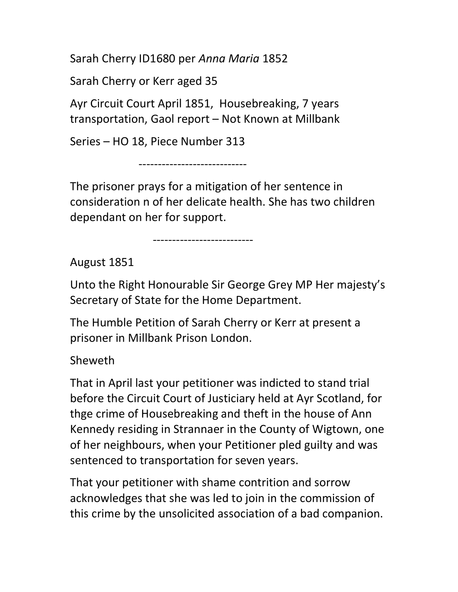Sarah Cherry ID1680 per Anna Maria 1852

Sarah Cherry or Kerr aged 35

Ayr Circuit Court April 1851, Housebreaking, 7 years transportation, Gaol report – Not Known at Millbank

Series – HO 18, Piece Number 313

----------------------------

The prisoner prays for a mitigation of her sentence in consideration n of her delicate health. She has two children dependant on her for support.

--------------------------

August 1851

Unto the Right Honourable Sir George Grey MP Her majesty's Secretary of State for the Home Department.

The Humble Petition of Sarah Cherry or Kerr at present a prisoner in Millbank Prison London.

Sheweth

That in April last your petitioner was indicted to stand trial before the Circuit Court of Justiciary held at Ayr Scotland, for thge crime of Housebreaking and theft in the house of Ann Kennedy residing in Strannaer in the County of Wigtown, one of her neighbours, when your Petitioner pled guilty and was sentenced to transportation for seven years.

That your petitioner with shame contrition and sorrow acknowledges that she was led to join in the commission of this crime by the unsolicited association of a bad companion.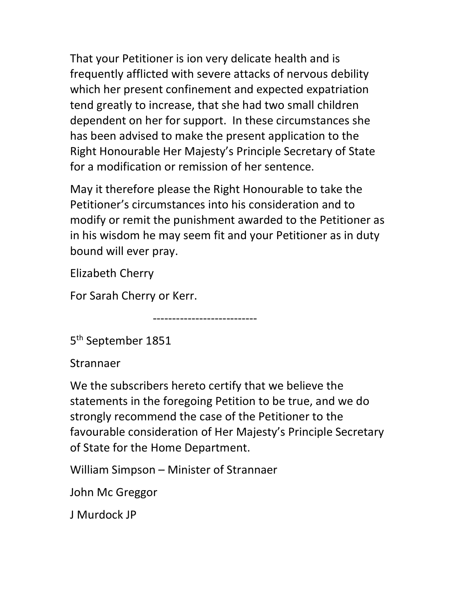That your Petitioner is ion very delicate health and is frequently afflicted with severe attacks of nervous debility which her present confinement and expected expatriation tend greatly to increase, that she had two small children dependent on her for support. In these circumstances she has been advised to make the present application to the Right Honourable Her Majesty's Principle Secretary of State for a modification or remission of her sentence.

May it therefore please the Right Honourable to take the Petitioner's circumstances into his consideration and to modify or remit the punishment awarded to the Petitioner as in his wisdom he may seem fit and your Petitioner as in duty bound will ever pray.

Elizabeth Cherry

For Sarah Cherry or Kerr.

---------------------------

5<sup>th</sup> September 1851

Strannaer

We the subscribers hereto certify that we believe the statements in the foregoing Petition to be true, and we do strongly recommend the case of the Petitioner to the favourable consideration of Her Majesty's Principle Secretary of State for the Home Department.

William Simpson – Minister of Strannaer

John Mc Greggor

J Murdock JP